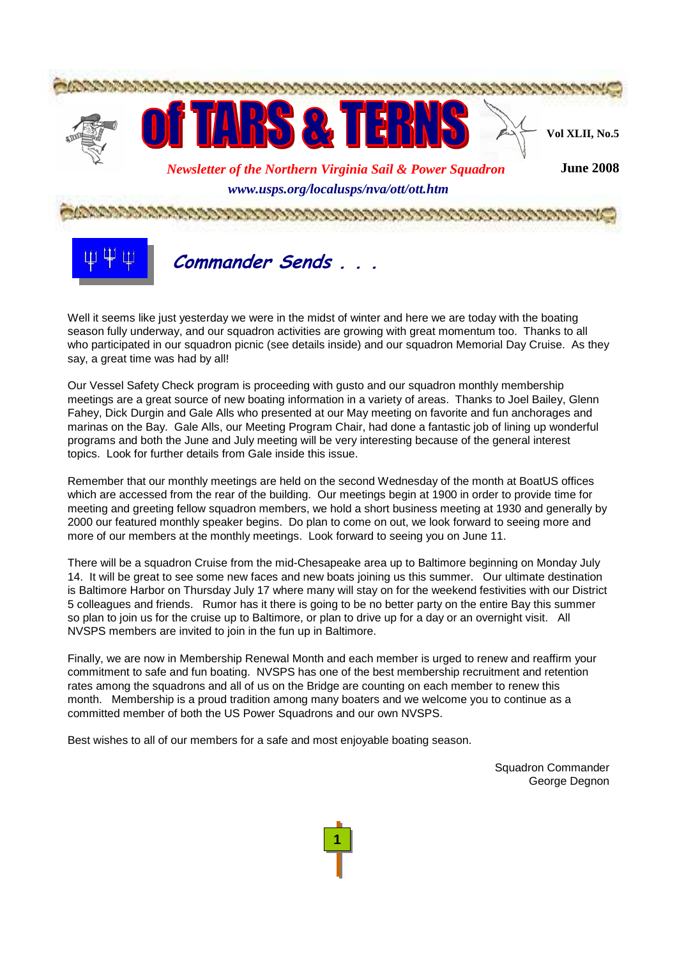

Well it seems like just yesterday we were in the midst of winter and here we are today with the boating season fully underway, and our squadron activities are growing with great momentum too. Thanks to all who participated in our squadron picnic (see details inside) and our squadron Memorial Day Cruise. As they say, a great time was had by all!

Our Vessel Safety Check program is proceeding with gusto and our squadron monthly membership meetings are a great source of new boating information in a variety of areas. Thanks to Joel Bailey, Glenn Fahey, Dick Durgin and Gale Alls who presented at our May meeting on favorite and fun anchorages and marinas on the Bay. Gale Alls, our Meeting Program Chair, had done a fantastic job of lining up wonderful programs and both the June and July meeting will be very interesting because of the general interest topics. Look for further details from Gale inside this issue.

Remember that our monthly meetings are held on the second Wednesday of the month at BoatUS offices which are accessed from the rear of the building. Our meetings begin at 1900 in order to provide time for meeting and greeting fellow squadron members, we hold a short business meeting at 1930 and generally by 2000 our featured monthly speaker begins. Do plan to come on out, we look forward to seeing more and more of our members at the monthly meetings. Look forward to seeing you on June 11.

There will be a squadron Cruise from the mid-Chesapeake area up to Baltimore beginning on Monday July 14. It will be great to see some new faces and new boats joining us this summer. Our ultimate destination is Baltimore Harbor on Thursday July 17 where many will stay on for the weekend festivities with our District 5 colleagues and friends. Rumor has it there is going to be no better party on the entire Bay this summer so plan to join us for the cruise up to Baltimore, or plan to drive up for a day or an overnight visit. All NVSPS members are invited to join in the fun up in Baltimore.

Finally, we are now in Membership Renewal Month and each member is urged to renew and reaffirm your commitment to safe and fun boating. NVSPS has one of the best membership recruitment and retention rates among the squadrons and all of us on the Bridge are counting on each member to renew this month. Membership is a proud tradition among many boaters and we welcome you to continue as a committed member of both the US Power Squadrons and our own NVSPS.

**11**

Best wishes to all of our members for a safe and most enjoyable boating season.

Squadron Commander George Degnon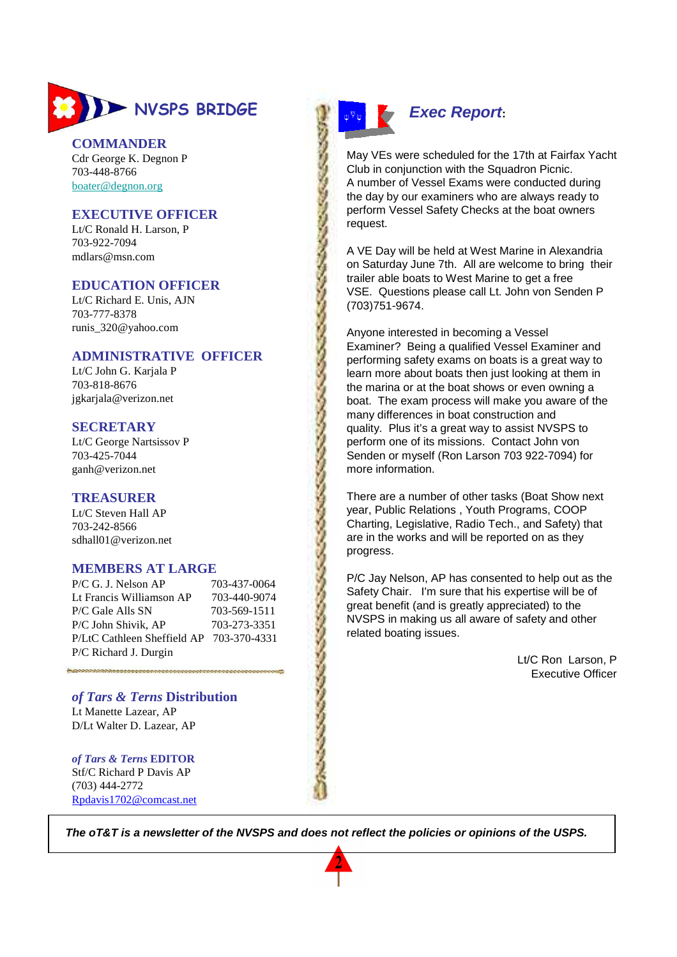

## **COMMANDER**

Cdr George K. Degnon P 703-448-8766 boater@degnon.org

## **EXECUTIVE OFFICER**

Lt/C Ronald H. Larson, P 703-922-7094 mdlars@msn.com

## **EDUCATION OFFICER**

Lt/C Richard E. Unis, AJN 703-777-8378 runis\_320@yahoo.com

## **ADMINISTRATIVE OFFICER**

Lt/C John G. Karjala P 703-818-8676 jgkarjala@verizon.net

### **SECRETARY**

Lt/C George Nartsissov P 703-425-7044 ganh@verizon.net

### **TREASURER**

Lt/C Steven Hall AP 703-242-8566 sdhall01@verizon.net

## **MEMBERS AT LARGE**

P/C G. J. Nelson AP 703-437-0064 Lt Francis Williamson AP 703-440-9074 P/C Gale Alls SN 703-569-1511 P/C John Shivik, AP 703-273-3351 P/LtC Cathleen Sheffield AP 703-370-4331 P/C Richard J. Durgin

#### *of Tars & Terns* **Distribution**

Lt Manette Lazear, AP D/Lt Walter D. Lazear, AP

*of Tars & Terns* **EDITOR** Stf/C Richard P Davis AP (703) 444-2772 Rpdavis1702@comcast.net



# **Exec Report:**

May VEs were scheduled for the 17th at Fairfax Yacht Club in conjunction with the Squadron Picnic. A number of Vessel Exams were conducted during the day by our examiners who are always ready to perform Vessel Safety Checks at the boat owners request.

A VE Day will be held at West Marine in Alexandria on Saturday June 7th. All are welcome to bring their trailer able boats to West Marine to get a free VSE. Questions please call Lt. John von Senden P (703)751-9674.

Anyone interested in becoming a Vessel Examiner? Being a qualified Vessel Examiner and performing safety exams on boats is a great way to learn more about boats then just looking at them in the marina or at the boat shows or even owning a boat. The exam process will make you aware of the many differences in boat construction and quality. Plus it's a great way to assist NVSPS to perform one of its missions. Contact John von Senden or myself (Ron Larson 703 922-7094) for more information.

There are a number of other tasks (Boat Show next year, Public Relations , Youth Programs, COOP Charting, Legislative, Radio Tech., and Safety) that are in the works and will be reported on as they progress.

P/C Jay Nelson, AP has consented to help out as the Safety Chair. I'm sure that his expertise will be of great benefit (and is greatly appreciated) to the NVSPS in making us all aware of safety and other related boating issues.

> Lt/C Ron Larson, P Executive Officer

**The oT&T is a newsletter of the NVSPS and does not reflect the policies or opinions of the USPS.**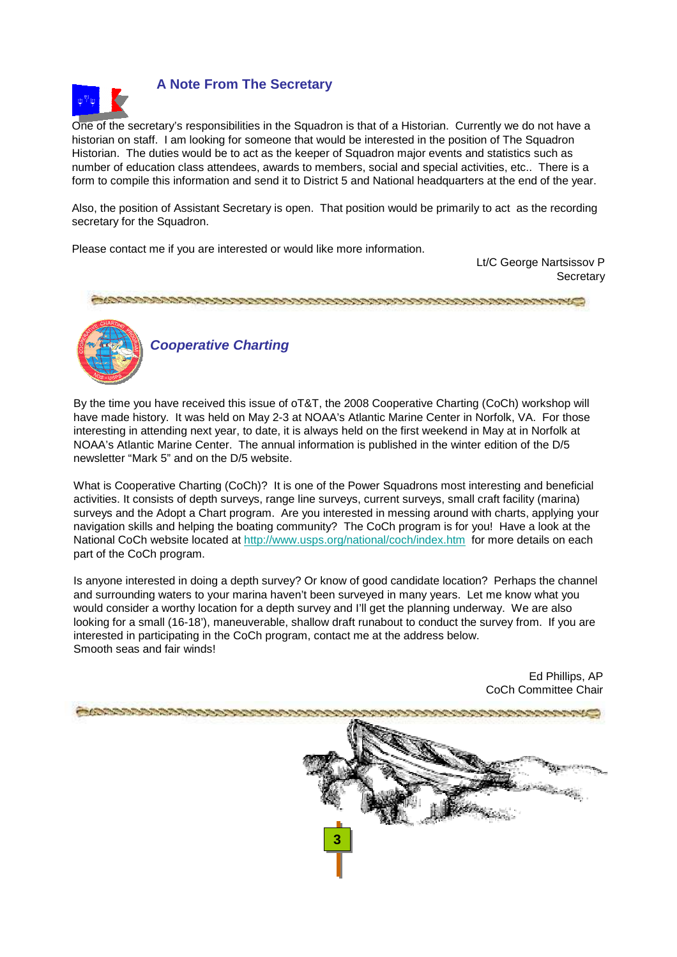

## **A Note From The Secretary**

One of the secretary's responsibilities in the Squadron is that of a Historian. Currently we do not have a historian on staff. I am looking for someone that would be interested in the position of The Squadron Historian. The duties would be to act as the keeper of Squadron major events and statistics such as number of education class attendees, awards to members, social and special activities, etc.. There is a form to compile this information and send it to District 5 and National headquarters at the end of the year.

Also, the position of Assistant Secretary is open. That position would be primarily to act as the recording secretary for the Squadron.

Please contact me if you are interested or would like more information.

Lt/C George Nartsissov P **Secretary** 

Ed Phillips, AP



**Cooperative Charting**

By the time you have received this issue of oT&T, the 2008 Cooperative Charting (CoCh) workshop will have made history. It was held on May 2-3 at NOAA's Atlantic Marine Center in Norfolk, VA. For those interesting in attending next year, to date, it is always held on the first weekend in May at in Norfolk at NOAA's Atlantic Marine Center. The annual information is published in the winter edition of the D/5 newsletter "Mark 5" and on the D/5 website.

What is Cooperative Charting (CoCh)? It is one of the Power Squadrons most interesting and beneficial activities. It consists of depth surveys, range line surveys, current surveys, small craft facility (marina) surveys and the Adopt a Chart program. Are you interested in messing around with charts, applying your navigation skills and helping the boating community? The CoCh program is for you! Have a look at the National CoCh website located at http://www.usps.org/national/coch/index.htm for more details on each part of the CoCh program.

Is anyone interested in doing a depth survey? Or know of good candidate location? Perhaps the channel and surrounding waters to your marina haven't been surveyed in many years. Let me know what you would consider a worthy location for a depth survey and I'll get the planning underway. We are also looking for a small (16-18'), maneuverable, shallow draft runabout to conduct the survey from. If you are interested in participating in the CoCh program, contact me at the address below. Smooth seas and fair winds!

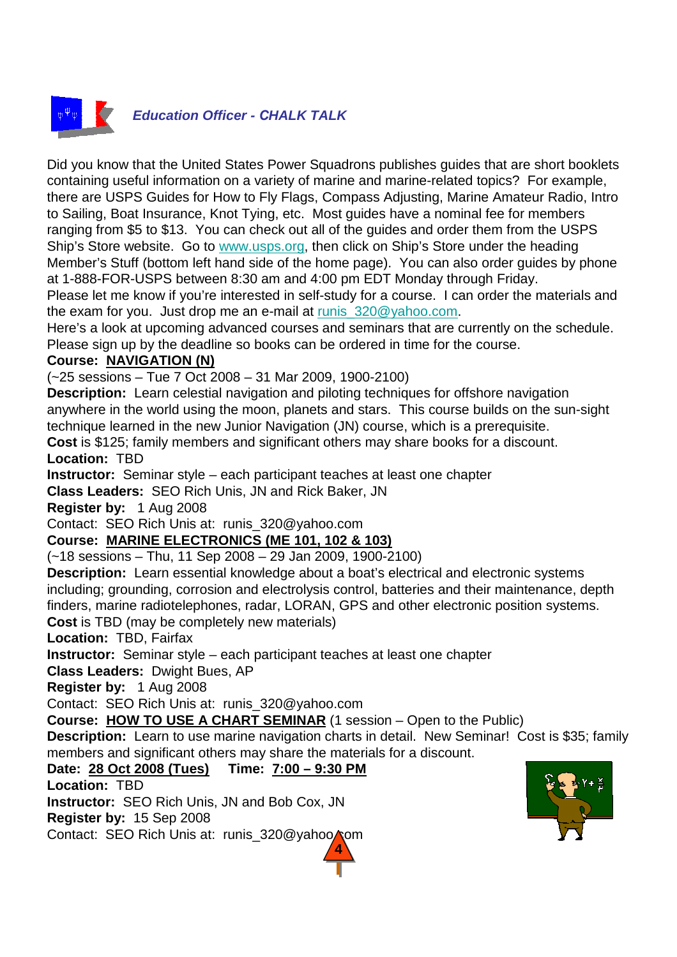

Did you know that the United States Power Squadrons publishes guides that are short booklets containing useful information on a variety of marine and marine-related topics? For example, there are USPS Guides for How to Fly Flags, Compass Adjusting, Marine Amateur Radio, Intro to Sailing, Boat Insurance, Knot Tying, etc. Most guides have a nominal fee for members ranging from \$5 to \$13. You can check out all of the guides and order them from the USPS Ship's Store website. Go to www.usps.org, then click on Ship's Store under the heading Member's Stuff (bottom left hand side of the home page). You can also order guides by phone at 1-888-FOR-USPS between 8:30 am and 4:00 pm EDT Monday through Friday.

Please let me know if you're interested in self-study for a course. I can order the materials and the exam for you. Just drop me an e-mail at runis\_320@yahoo.com.

Here's a look at upcoming advanced courses and seminars that are currently on the schedule. Please sign up by the deadline so books can be ordered in time for the course.

# **Course: NAVIGATION (N)**

(~25 sessions – Tue 7 Oct 2008 – 31 Mar 2009, 1900-2100)

**Description:** Learn celestial navigation and piloting techniques for offshore navigation anywhere in the world using the moon, planets and stars. This course builds on the sun-sight technique learned in the new Junior Navigation (JN) course, which is a prerequisite.

**Cost** is \$125; family members and significant others may share books for a discount. **Location:** TBD

**Instructor:** Seminar style – each participant teaches at least one chapter

**Class Leaders:** SEO Rich Unis, JN and Rick Baker, JN

**Register by:** 1 Aug 2008

Contact: SEO Rich Unis at: runis\_320@yahoo.com

# **Course: MARINE ELECTRONICS (ME 101, 102 & 103)**

(~18 sessions – Thu, 11 Sep 2008 – 29 Jan 2009, 1900-2100)

**Description:** Learn essential knowledge about a boat's electrical and electronic systems including; grounding, corrosion and electrolysis control, batteries and their maintenance, depth finders, marine radiotelephones, radar, LORAN, GPS and other electronic position systems. **Cost** is TBD (may be completely new materials)

**Location:** TBD, Fairfax

**Instructor:** Seminar style – each participant teaches at least one chapter

**Class Leaders:** Dwight Bues, AP

**Register by:** 1 Aug 2008

Contact: SEO Rich Unis at: runis\_320@yahoo.com

**Course: HOW TO USE A CHART SEMINAR** (1 session – Open to the Public)

**Description:** Learn to use marine navigation charts in detail. New Seminar! Cost is \$35; family members and significant others may share the materials for a discount.

**Date: 28 Oct 2008 (Tues) Time: 7:00 – 9:30 PM**

**Location:** TBD

**Instructor:** SEO Rich Unis, JN and Bob Cox, JN

**Register by:** 15 Sep 2008

Contact: SEO Rich Unis at: runis 320@yahoo.com **44**

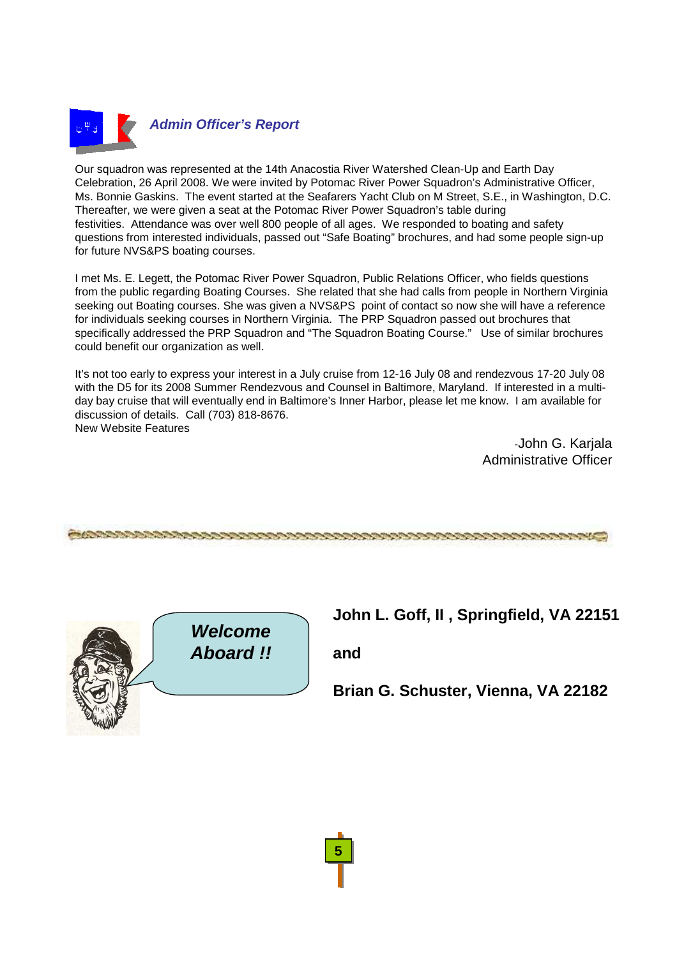

Our squadron was represented at the 14th Anacostia River Watershed Clean-Up and Earth Day Celebration, 26 April 2008. We were invited by Potomac River Power Squadron's Administrative Officer, Ms. Bonnie Gaskins. The event started at the Seafarers Yacht Club on M Street, S.E., in Washington, D.C. Thereafter, we were given a seat at the Potomac River Power Squadron's table during festivities. Attendance was over well 800 people of all ages. We responded to boating and safety questions from interested individuals, passed out "Safe Boating" brochures, and had some people sign-up for future NVS&PS boating courses.

I met Ms. E. Legett, the Potomac River Power Squadron, Public Relations Officer, who fields questions from the public regarding Boating Courses. She related that she had calls from people in Northern Virginia seeking out Boating courses. She was given a NVS&PS point of contact so now she will have a reference for individuals seeking courses in Northern Virginia. The PRP Squadron passed out brochures that specifically addressed the PRP Squadron and "The Squadron Boating Course." Use of similar brochures could benefit our organization as well.

It's not too early to express your interest in a July cruise from 12-16 July 08 and rendezvous 17-20 July 08 with the D5 for its 2008 Summer Rendezvous and Counsel in Baltimore, Maryland. If interested in a multiday bay cruise that will eventually end in Baltimore's Inner Harbor, please let me know. I am available for discussion of details. Call (703) 818-8676. New Website Features

> -John G. Karjala Administrative Officer



**Welcome Aboard !!** **John L. Goff, II , Springfield, VA 22151**

**and**

**Brian G. Schuster, Vienna, VA 22182**

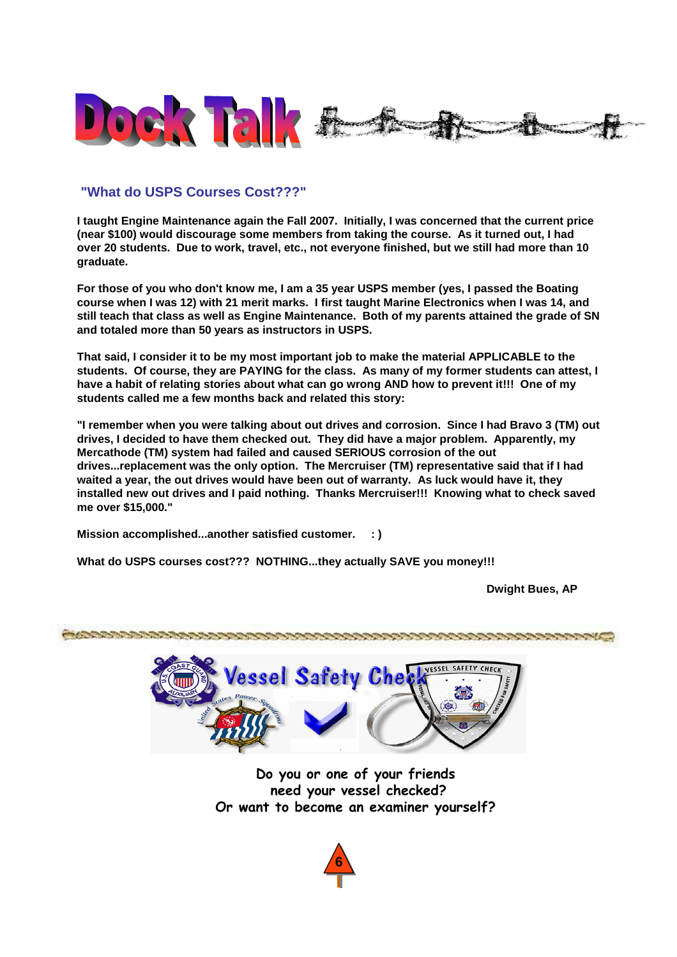



## **"What do USPS Courses Cost???"**

**I taught Engine Maintenance again the Fall 2007. Initially, I was concerned that the current price (near \$100) would discourage some members from taking the course. As it turned out, I had over 20 students. Due to work, travel, etc., not everyone finished, but we still had more than 10 graduate.**

**For those of you who don't know me, I am a 35 year USPS member (yes, I passed the Boating course when I was 12) with 21 merit marks. I first taught Marine Electronics when I was 14, and still teach that class as well as Engine Maintenance. Both of my parents attained the grade of SN and totaled more than 50 years as instructors in USPS.**

**That said, I consider it to be my most important job to make the material APPLICABLE to the students. Of course, they are PAYING for the class. As many of my former students can attest, I have a habit of relating stories about what can go wrong AND how to prevent it!!! One of my students called me a few months back and related this story:**

**"I remember when you were talking about out drives and corrosion. Since I had Bravo 3 (TM) out drives, I decided to have them checked out. They did have a major problem. Apparently, my Mercathode (TM) system had failed and caused SERIOUS corrosion of the out drives...replacement was the only option. The Mercruiser (TM) representative said that if I had waited a year, the out drives would have been out of warranty. As luck would have it, they installed new out drives and I paid nothing. Thanks Mercruiser!!! Knowing what to check saved me over \$15,000."**

**Mission accomplished...another satisfied customer. : )**

**What do USPS courses cost??? NOTHING...they actually SAVE you money!!!**

**Dwight Bues, AP**



**Do you or one of your friends need your vessel checked? Or want to become an examiner yourself?** 

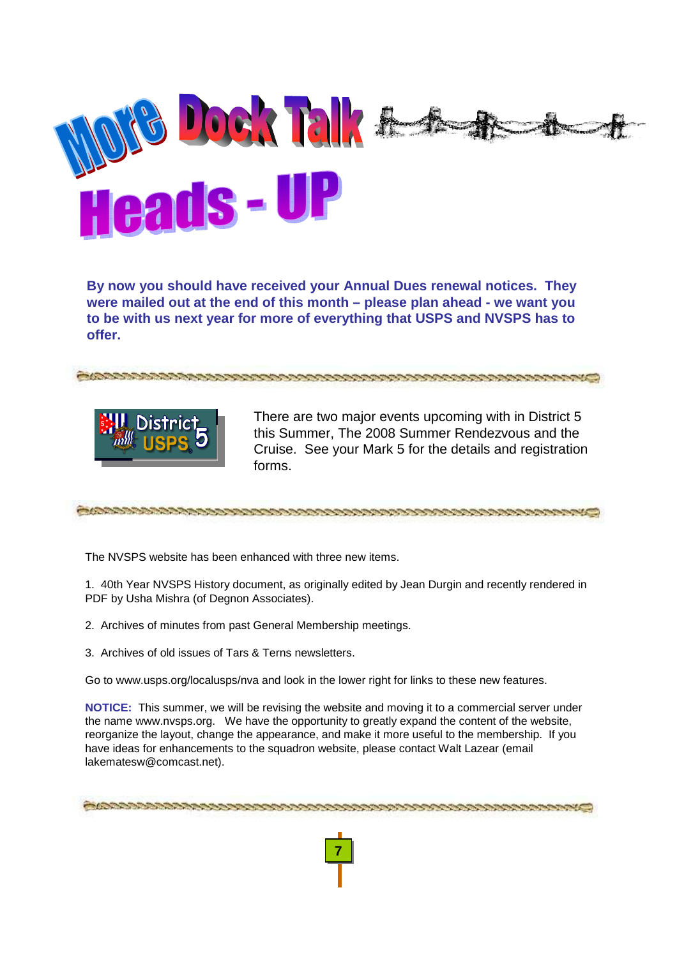

**By now you should have received your Annual Dues renewal notices. They were mailed out at the end of this month – please plan ahead - we want you to be with us next year for more of everything that USPS and NVSPS has to offer.**





There are two major events upcoming with in District 5 this Summer, The 2008 Summer Rendezvous and the Cruise. See your Mark 5 for the details and registration forms.

The NVSPS website has been enhanced with three new items.

1. 40th Year NVSPS History document, as originally edited by Jean Durgin and recently rendered in PDF by Usha Mishra (of Degnon Associates).

- 2. Archives of minutes from past General Membership meetings.
- 3. Archives of old issues of Tars & Terns newsletters.

Go to www.usps.org/localusps/nva and look in the lower right for links to these new features.

**NOTICE:** This summer, we will be revising the website and moving it to a commercial server under the name www.nvsps.org. We have the opportunity to greatly expand the content of the website, reorganize the layout, change the appearance, and make it more useful to the membership. If you have ideas for enhancements to the squadron website, please contact Walt Lazear (email lakematesw@comcast.net).

**77**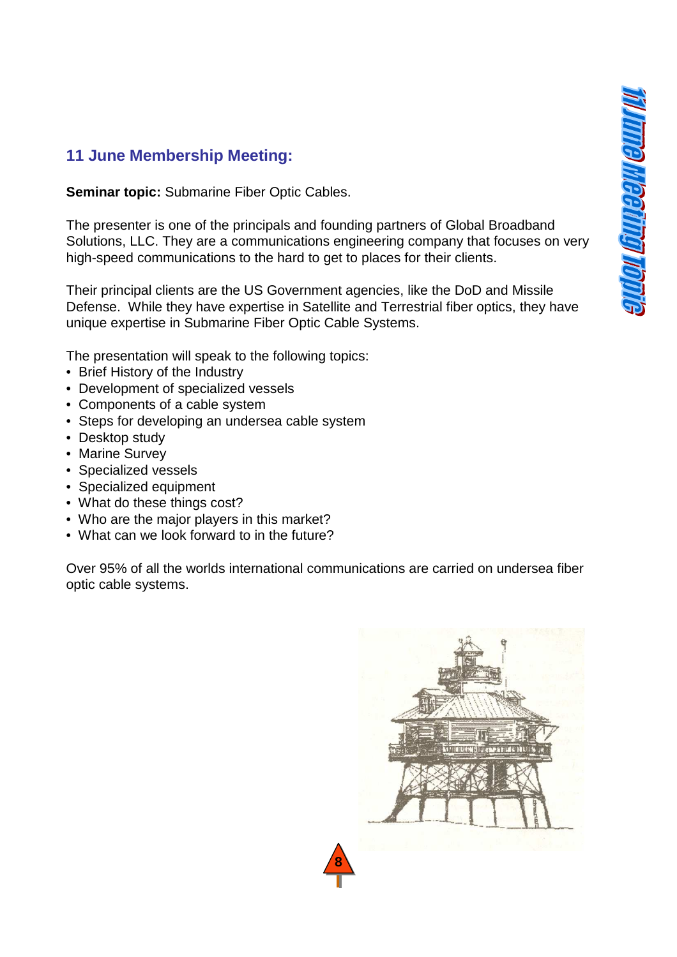# **11 June Membership Meeting:**

**Seminar topic:** Submarine Fiber Optic Cables.

The presenter is one of the principals and founding partners of Global Broadband Solutions, LLC. They are a communications engineering company that focuses on very high-speed communications to the hard to get to places for their clients.

Their principal clients are the US Government agencies, like the DoD and Missile Defense. While they have expertise in Satellite and Terrestrial fiber optics, they have unique expertise in Submarine Fiber Optic Cable Systems.

The presentation will speak to the following topics:

- Brief History of the Industry
- Development of specialized vessels
- Components of a cable system
- Steps for developing an undersea cable system
- Desktop study
- Marine Survey
- Specialized vessels
- Specialized equipment
- What do these things cost?
- Who are the major players in this market?
- What can we look forward to in the future?

Over 95% of all the worlds international communications are carried on undersea fiber optic cable systems.

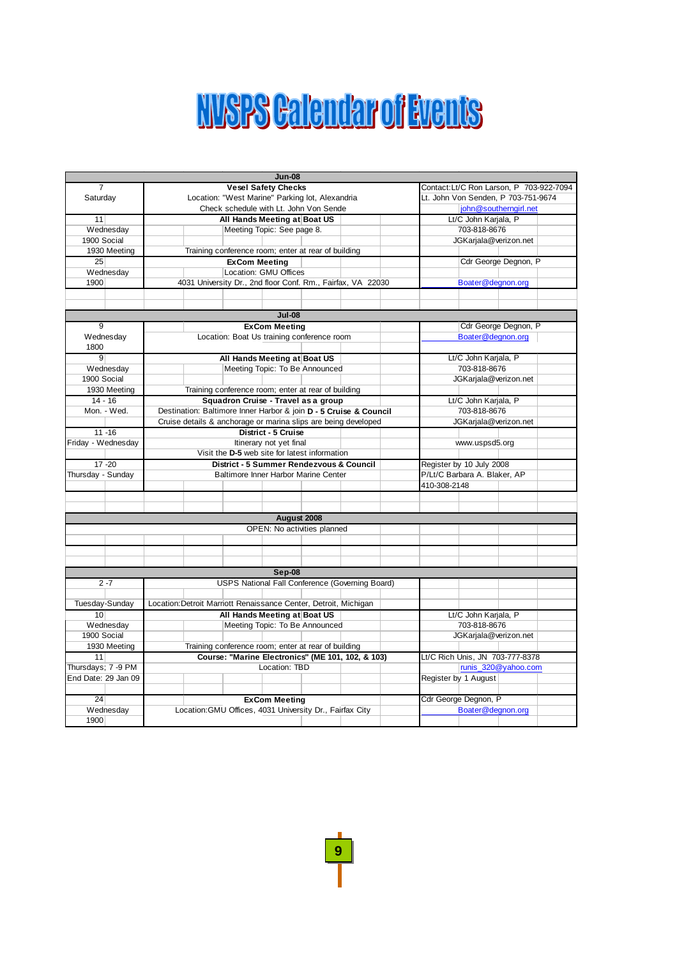# **NUSPS Galendar of Events**

| <b>Jun-08</b>                             |                                                                                                          |                                         |
|-------------------------------------------|----------------------------------------------------------------------------------------------------------|-----------------------------------------|
| $\overline{7}$                            | <b>Vesel Safety Checks</b>                                                                               | Contact:Lt/C Ron Larson, P 703-922-7094 |
| Saturday                                  | Location: "West Marine" Parking lot, Alexandria                                                          | Lt. John Von Senden, P 703-751-9674     |
|                                           | Check schedule with Lt. John Von Sende                                                                   | john@southerngirl.net                   |
| 11                                        | All Hands Meeting at Boat US                                                                             | Lt/C John Karjala, P                    |
| Wednesday                                 | Meeting Topic: See page 8.                                                                               | 703-818-8676                            |
| 1900 Social                               |                                                                                                          | JGKarjala@verizon.net                   |
| 1930 Meeting                              | Training conference room; enter at rear of building                                                      |                                         |
| 25                                        | <b>ExCom Meeting</b>                                                                                     | Cdr George Degnon, P                    |
| Wednesday                                 | Location: GMU Offices                                                                                    |                                         |
| 1900                                      | 4031 University Dr., 2nd floor Conf. Rm., Fairfax, VA 22030                                              | Boater@degnon.org                       |
|                                           |                                                                                                          |                                         |
|                                           |                                                                                                          |                                         |
|                                           | <b>Jul-08</b>                                                                                            |                                         |
| 9                                         | <b>ExCom Meeting</b>                                                                                     | Cdr George Degnon, P                    |
| Wednesday                                 | Location: Boat Us training conference room                                                               | Boater@degnon.org                       |
| 1800                                      |                                                                                                          |                                         |
| $\mathbf{9}$                              | All Hands Meeting at Boat US                                                                             | Lt/C John Karjala, P                    |
| Wednesday                                 | Meeting Topic: To Be Announced                                                                           | 703-818-8676                            |
| 1900 Social                               |                                                                                                          | JGKarjala@verizon.net                   |
| 1930 Meeting                              | Training conference room; enter at rear of building                                                      |                                         |
| $14 - 16$                                 | Squadron Cruise - Travel as a group                                                                      | Lt/C John Karjala, P                    |
| Mon. - Wed.                               | Destination: Baltimore Inner Harbor & join D - 5 Cruise & Council                                        | 703-818-8676                            |
|                                           | Cruise details & anchorage or marina slips are being developed                                           | JGKarjala@verizon.net                   |
| $11 - 16$                                 | District - 5 Cruise                                                                                      |                                         |
| Friday - Wednesday                        | Itinerary not yet final                                                                                  | www.uspsd5.org                          |
|                                           | Visit the D-5 web site for latest information                                                            |                                         |
| $17 - 20$                                 | District - 5 Summer Rendezvous & Council                                                                 | Register by 10 July 2008                |
| Thursday - Sunday                         | Baltimore Inner Harbor Marine Center                                                                     | P/Lt/C Barbara A. Blaker, AP            |
|                                           |                                                                                                          | 410-308-2148                            |
|                                           |                                                                                                          |                                         |
|                                           |                                                                                                          |                                         |
| August 2008                               |                                                                                                          |                                         |
| OPEN: No activities planned               |                                                                                                          |                                         |
|                                           |                                                                                                          |                                         |
|                                           |                                                                                                          |                                         |
|                                           |                                                                                                          |                                         |
|                                           | Sep-08                                                                                                   |                                         |
| $2 - 7$                                   | USPS National Fall Conference (Governing Board)                                                          |                                         |
|                                           |                                                                                                          |                                         |
| Tuesday-Sunday                            | Location: Detroit Marriott Renaissance Center, Detroit, Michigan                                         |                                         |
| 10 <sup>1</sup>                           | All Hands Meeting at Boat US                                                                             | Lt/C John Karjala, P                    |
| Wednesday                                 | Meeting Topic: To Be Announced                                                                           | 703-818-8676                            |
| 1900 Social                               |                                                                                                          | JGKarjala@verizon.net                   |
|                                           |                                                                                                          |                                         |
| 1930 Meeting<br>11                        | Training conference room; enter at rear of building<br>Course: "Marine Electronics" (ME 101, 102, & 103) |                                         |
|                                           | Location: TBD                                                                                            | Lt/C Rich Unis, JN 703-777-8378         |
| Thursdays; 7 -9 PM<br>End Date: 29 Jan 09 |                                                                                                          | runis 320@yahoo.com                     |
|                                           |                                                                                                          | Register by 1 August                    |
|                                           |                                                                                                          |                                         |
| $\overline{24}$                           | <b>ExCom Meeting</b>                                                                                     | Cdr George Degnon, P                    |
| Wednesday                                 | Location: GMU Offices, 4031 University Dr., Fairfax City                                                 | Boater@degnon.org                       |
| 1900                                      |                                                                                                          |                                         |